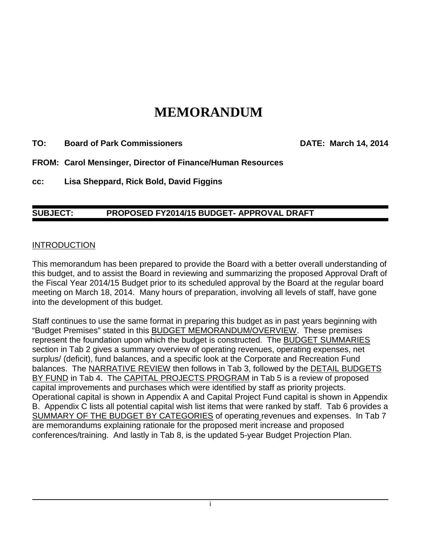# **MEMORANDUM**

**TO: Board of Park Commissioners DATE: March 14, 2014**

**FROM: Carol Mensinger, Director of Finance/Human Resources** 

**cc: Lisa Sheppard, Rick Bold, David Figgins**

#### **SUBJECT: PROPOSED FY2014/15 BUDGET- APPROVAL DRAFT**

#### **INTRODUCTION**

This memorandum has been prepared to provide the Board with a better overall understanding of this budget, and to assist the Board in reviewing and summarizing the proposed Approval Draft of the Fiscal Year 2014/15 Budget prior to its scheduled approval by the Board at the regular board meeting on March 18, 2014. Many hours of preparation, involving all levels of staff, have gone into the development of this budget.

Staff continues to use the same format in preparing this budget as in past years beginning with "Budget Premises" stated in this BUDGET MEMORANDUM/OVERVIEW. These premises represent the foundation upon which the budget is constructed. The BUDGET SUMMARIES section in Tab 2 gives a summary overview of operating revenues, operating expenses, net surplus/ (deficit), fund balances, and a specific look at the Corporate and Recreation Fund balances. The NARRATIVE REVIEW then follows in Tab 3, followed by the DETAIL BUDGETS BY FUND in Tab 4. The CAPITAL PROJECTS PROGRAM in Tab 5 is a review of proposed capital improvements and purchases which were identified by staff as priority projects. Operational capital is shown in Appendix A and Capital Project Fund capital is shown in Appendix B. Appendix C lists all potential capital wish list items that were ranked by staff. Tab 6 provides a SUMMARY OF THE BUDGET BY CATEGORIES of operating revenues and expenses. In Tab 7 are memorandums explaining rationale for the proposed merit increase and proposed conferences/training. And lastly in Tab 8, is the updated 5-year Budget Projection Plan.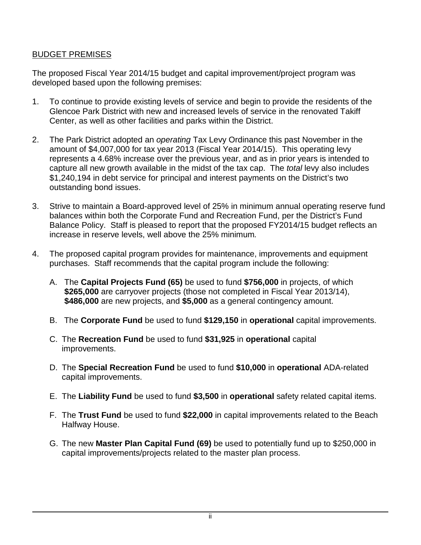#### BUDGET PREMISES

The proposed Fiscal Year 2014/15 budget and capital improvement/project program was developed based upon the following premises:

- 1. To continue to provide existing levels of service and begin to provide the residents of the Glencoe Park District with new and increased levels of service in the renovated Takiff Center, as well as other facilities and parks within the District.
- 2. The Park District adopted an *operating* Tax Levy Ordinance this past November in the amount of \$4,007,000 for tax year 2013 (Fiscal Year 2014/15). This operating levy represents a 4.68% increase over the previous year, and as in prior years is intended to capture all new growth available in the midst of the tax cap. The *total* levy also includes \$1,240,194 in debt service for principal and interest payments on the District's two outstanding bond issues.
- 3. Strive to maintain a Board-approved level of 25% in minimum annual operating reserve fund balances within both the Corporate Fund and Recreation Fund, per the District's Fund Balance Policy. Staff is pleased to report that the proposed FY2014/15 budget reflects an increase in reserve levels, well above the 25% minimum*.*
- 4. The proposed capital program provides for maintenance, improvements and equipment purchases. Staff recommends that the capital program include the following:
	- A. The **Capital Projects Fund (65)** be used to fund **\$756,000** in projects, of which **\$265,000** are carryover projects (those not completed in Fiscal Year 2013/14), **\$486,000** are new projects, and **\$5,000** as a general contingency amount.
	- B. The **Corporate Fund** be used to fund **\$129,150** in **operational** capital improvements.
	- C. The **Recreation Fund** be used to fund **\$31,925** in **operational** capital improvements.
	- D. The **Special Recreation Fund** be used to fund **\$10,000** in **operational** ADA-related capital improvements.
	- E. The **Liability Fund** be used to fund **\$3,500** in **operational** safety related capital items.
	- F. The **Trust Fund** be used to fund **\$22,000** in capital improvements related to the Beach Halfway House.
	- G. The new **Master Plan Capital Fund (69)** be used to potentially fund up to \$250,000 in capital improvements/projects related to the master plan process.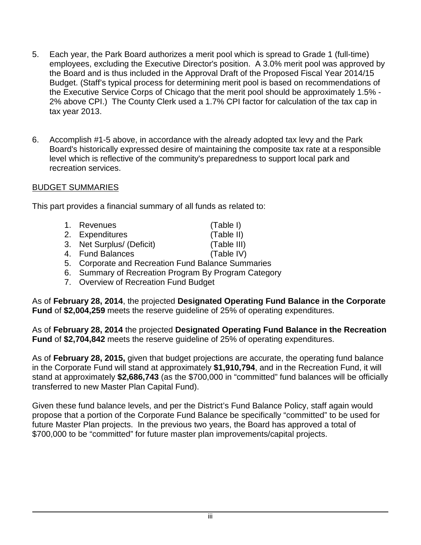- 5. Each year, the Park Board authorizes a merit pool which is spread to Grade 1 (full-time) employees, excluding the Executive Director's position. A 3.0% merit pool was approved by the Board and is thus included in the Approval Draft of the Proposed Fiscal Year 2014/15 Budget. (Staff's typical process for determining merit pool is based on recommendations of the Executive Service Corps of Chicago that the merit pool should be approximately 1.5% - 2% above CPI.) The County Clerk used a 1.7% CPI factor for calculation of the tax cap in tax year 2013.
- 6. Accomplish #1-5 above, in accordance with the already adopted tax levy and the Park Board's historically expressed desire of maintaining the composite tax rate at a responsible level which is reflective of the community's preparedness to support local park and recreation services.

### BUDGET SUMMARIES

This part provides a financial summary of all funds as related to:

- 1. Revenues (Table I) 2. Expenditures (Table II) 3. Net Surplus/ (Deficit) (Table III) 4. Fund Balances (Table IV)
- 5. Corporate and Recreation Fund Balance Summaries
- 6. Summary of Recreation Program By Program Category
- 7. Overview of Recreation Fund Budget

As of **February 28, 2014**, the projected **Designated Operating Fund Balance in the Corporate Fund** of **\$2,004,259** meets the reserve guideline of 25% of operating expenditures.

As of **February 28, 2014** the projected **Designated Operating Fund Balance in the Recreation Fund** of **\$2,704,842** meets the reserve guideline of 25% of operating expenditures.

As of **February 28, 2015,** given that budget projections are accurate, the operating fund balance in the Corporate Fund will stand at approximately **\$1,910,794**, and in the Recreation Fund, it will stand at approximately **\$2,686,743** (as the \$700,000 in "committed" fund balances will be officially transferred to new Master Plan Capital Fund).

Given these fund balance levels, and per the District's Fund Balance Policy, staff again would propose that a portion of the Corporate Fund Balance be specifically "committed" to be used for future Master Plan projects. In the previous two years, the Board has approved a total of \$700,000 to be "committed" for future master plan improvements/capital projects.